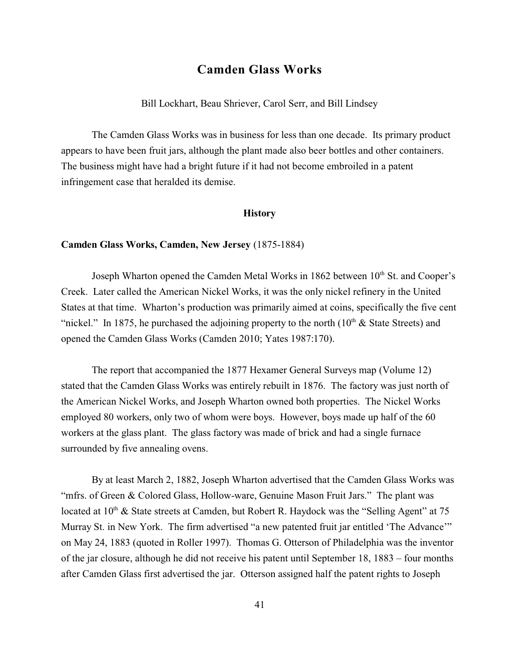# **Camden Glass Works**

Bill Lockhart, Beau Shriever, Carol Serr, and Bill Lindsey

The Camden Glass Works was in business for less than one decade. Its primary product appears to have been fruit jars, although the plant made also beer bottles and other containers. The business might have had a bright future if it had not become embroiled in a patent infringement case that heralded its demise.

#### **History**

#### **Camden Glass Works, Camden, New Jersey** (1875-1884)

Joseph Wharton opened the Camden Metal Works in  $1862$  between  $10<sup>th</sup>$  St. and Cooper's Creek. Later called the American Nickel Works, it was the only nickel refinery in the United States at that time. Wharton's production was primarily aimed at coins, specifically the five cent "nickel." In 1875, he purchased the adjoining property to the north  $(10<sup>th</sup> \&$  State Streets) and opened the Camden Glass Works (Camden 2010; Yates 1987:170).

The report that accompanied the 1877 Hexamer General Surveys map (Volume 12) stated that the Camden Glass Works was entirely rebuilt in 1876. The factory was just north of the American Nickel Works, and Joseph Wharton owned both properties. The Nickel Works employed 80 workers, only two of whom were boys. However, boys made up half of the 60 workers at the glass plant. The glass factory was made of brick and had a single furnace surrounded by five annealing ovens.

By at least March 2, 1882, Joseph Wharton advertised that the Camden Glass Works was "mfrs. of Green & Colored Glass, Hollow-ware, Genuine Mason Fruit Jars." The plant was located at  $10<sup>th</sup>$  & State streets at Camden, but Robert R. Haydock was the "Selling Agent" at 75 Murray St. in New York. The firm advertised "a new patented fruit jar entitled 'The Advance'" on May 24, 1883 (quoted in Roller 1997). Thomas G. Otterson of Philadelphia was the inventor of the jar closure, although he did not receive his patent until September 18, 1883 – four months after Camden Glass first advertised the jar. Otterson assigned half the patent rights to Joseph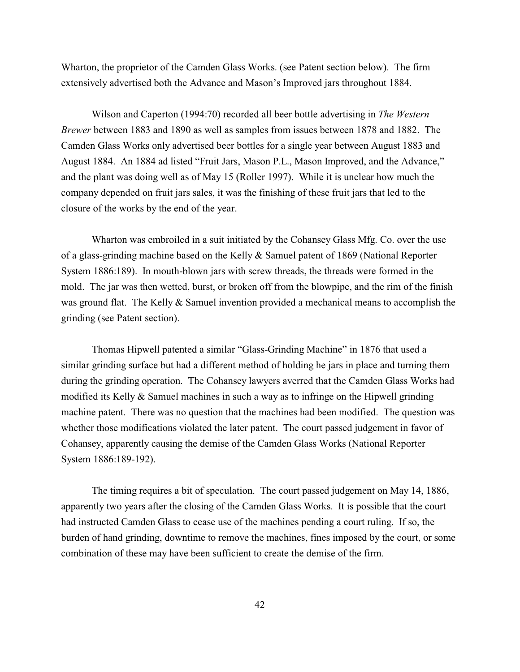Wharton, the proprietor of the Camden Glass Works. (see Patent section below). The firm extensively advertised both the Advance and Mason's Improved jars throughout 1884.

Wilson and Caperton (1994:70) recorded all beer bottle advertising in *The Western Brewer* between 1883 and 1890 as well as samples from issues between 1878 and 1882. The Camden Glass Works only advertised beer bottles for a single year between August 1883 and August 1884. An 1884 ad listed "Fruit Jars, Mason P.L., Mason Improved, and the Advance," and the plant was doing well as of May 15 (Roller 1997). While it is unclear how much the company depended on fruit jars sales, it was the finishing of these fruit jars that led to the closure of the works by the end of the year.

Wharton was embroiled in a suit initiated by the Cohansey Glass Mfg. Co. over the use of a glass-grinding machine based on the Kelly & Samuel patent of 1869 (National Reporter System 1886:189). In mouth-blown jars with screw threads, the threads were formed in the mold. The jar was then wetted, burst, or broken off from the blowpipe, and the rim of the finish was ground flat. The Kelly & Samuel invention provided a mechanical means to accomplish the grinding (see Patent section).

Thomas Hipwell patented a similar "Glass-Grinding Machine" in 1876 that used a similar grinding surface but had a different method of holding he jars in place and turning them during the grinding operation. The Cohansey lawyers averred that the Camden Glass Works had modified its Kelly & Samuel machines in such a way as to infringe on the Hipwell grinding machine patent. There was no question that the machines had been modified. The question was whether those modifications violated the later patent. The court passed judgement in favor of Cohansey, apparently causing the demise of the Camden Glass Works (National Reporter System 1886:189-192).

The timing requires a bit of speculation. The court passed judgement on May 14, 1886, apparently two years after the closing of the Camden Glass Works. It is possible that the court had instructed Camden Glass to cease use of the machines pending a court ruling. If so, the burden of hand grinding, downtime to remove the machines, fines imposed by the court, or some combination of these may have been sufficient to create the demise of the firm.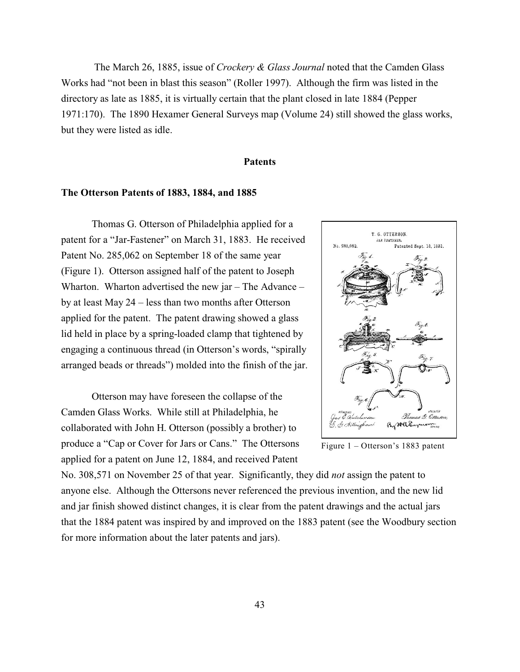The March 26, 1885, issue of *Crockery & Glass Journal* noted that the Camden Glass Works had "not been in blast this season" (Roller 1997). Although the firm was listed in the directory as late as 1885, it is virtually certain that the plant closed in late 1884 (Pepper 1971:170). The 1890 Hexamer General Surveys map (Volume 24) still showed the glass works, but they were listed as idle.

#### **Patents**

#### **The Otterson Patents of 1883, 1884, and 1885**

Thomas G. Otterson of Philadelphia applied for a patent for a "Jar-Fastener" on March 31, 1883. He received Patent No. 285,062 on September 18 of the same year (Figure 1). Otterson assigned half of the patent to Joseph Wharton. Wharton advertised the new jar – The Advance – by at least May 24 – less than two months after Otterson applied for the patent. The patent drawing showed a glass lid held in place by a spring-loaded clamp that tightened by engaging a continuous thread (in Otterson's words, "spirally arranged beads or threads") molded into the finish of the jar.

Otterson may have foreseen the collapse of the Camden Glass Works. While still at Philadelphia, he collaborated with John H. Otterson (possibly a brother) to produce a "Cap or Cover for Jars or Cans." The Ottersons applied for a patent on June 12, 1884, and received Patent



Figure 1 – Otterson's 1883 patent

No. 308,571 on November 25 of that year. Significantly, they did *not* assign the patent to anyone else. Although the Ottersons never referenced the previous invention, and the new lid and jar finish showed distinct changes, it is clear from the patent drawings and the actual jars that the 1884 patent was inspired by and improved on the 1883 patent (see the Woodbury section for more information about the later patents and jars).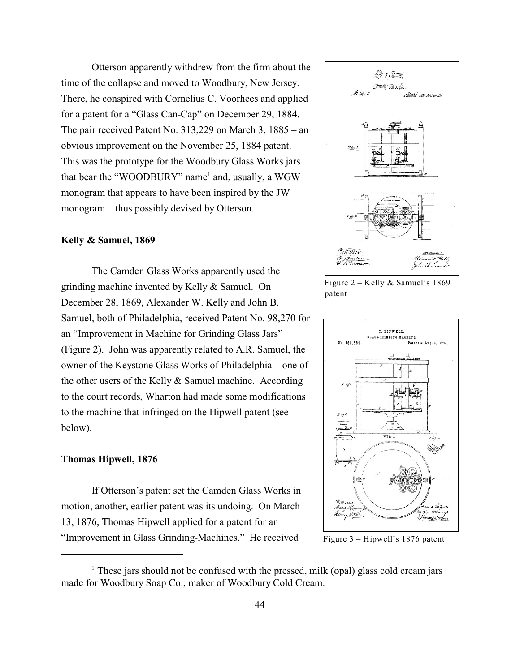Otterson apparently withdrew from the firm about the time of the collapse and moved to Woodbury, New Jersey. There, he conspired with Cornelius C. Voorhees and applied for a patent for a "Glass Can-Cap" on December 29, 1884. The pair received Patent No. 313,229 on March 3, 1885 – an obvious improvement on the November 25, 1884 patent. This was the prototype for the Woodbury Glass Works jars that bear the "WOODBURY" name<sup>1</sup> and, usually, a WGW monogram that appears to have been inspired by the JW monogram – thus possibly devised by Otterson.

#### **Kelly & Samuel, 1869**

The Camden Glass Works apparently used the grinding machine invented by Kelly & Samuel. On December 28, 1869, Alexander W. Kelly and John B. Samuel, both of Philadelphia, received Patent No. 98,270 for an "Improvement in Machine for Grinding Glass Jars" (Figure 2). John was apparently related to A.R. Samuel, the owner of the Keystone Glass Works of Philadelphia – one of the other users of the Kelly & Samuel machine. According to the court records, Wharton had made some modifications to the machine that infringed on the Hipwell patent (see below).

## **Thomas Hipwell, 1876**

If Otterson's patent set the Camden Glass Works in motion, another, earlier patent was its undoing. On March 13, 1876, Thomas Hipwell applied for a patent for an "Improvement in Glass Grinding-Machines." He received



Figure 2 – Kelly & Samuel's 1869 patent



Figure 3 – Hipwell's 1876 patent

 $\frac{1}{1}$  These jars should not be confused with the pressed, milk (opal) glass cold cream jars made for Woodbury Soap Co., maker of Woodbury Cold Cream.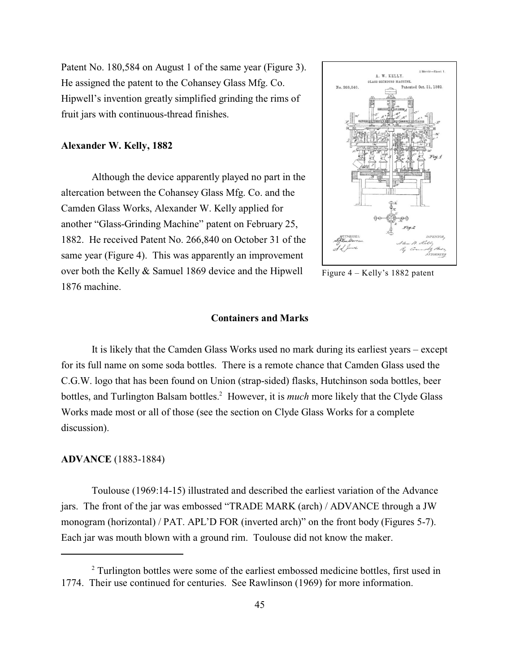Patent No. 180,584 on August 1 of the same year (Figure 3). He assigned the patent to the Cohansey Glass Mfg. Co. Hipwell's invention greatly simplified grinding the rims of fruit jars with continuous-thread finishes.

#### **Alexander W. Kelly, 1882**

Although the device apparently played no part in the altercation between the Cohansey Glass Mfg. Co. and the Camden Glass Works, Alexander W. Kelly applied for another "Glass-Grinding Machine" patent on February 25, 1882. He received Patent No. 266,840 on October 31 of the same year (Figure 4). This was apparently an improvement over both the Kelly & Samuel 1869 device and the Hipwell 1876 machine.



Figure 4 – Kelly's 1882 patent

## **Containers and Marks**

It is likely that the Camden Glass Works used no mark during its earliest years – except for its full name on some soda bottles. There is a remote chance that Camden Glass used the C.G.W. logo that has been found on Union (strap-sided) flasks, Hutchinson soda bottles, beer bottles, and Turlington Balsam bottles.<sup>2</sup> However, it is *much* more likely that the Clyde Glass Works made most or all of those (see the section on Clyde Glass Works for a complete discussion).

#### **ADVANCE** (1883-1884)

Toulouse (1969:14-15) illustrated and described the earliest variation of the Advance jars. The front of the jar was embossed "TRADE MARK (arch) / ADVANCE through a JW monogram (horizontal) / PAT. APL'D FOR (inverted arch)" on the front body (Figures 5-7). Each jar was mouth blown with a ground rim. Toulouse did not know the maker.

<sup>&</sup>lt;sup>2</sup> Turlington bottles were some of the earliest embossed medicine bottles, first used in 1774. Their use continued for centuries. See Rawlinson (1969) for more information.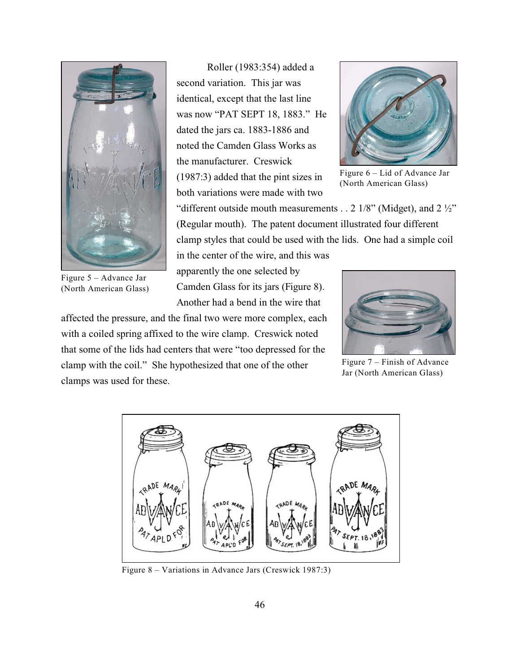

Figure 5 – Advance Jar (North American Glass)

Roller (1983:354) added a second variation. This jar was identical, except that the last line was now "PAT SEPT 18, 1883." He dated the jars ca. 1883-1886 and noted the Camden Glass Works as the manufacturer. Creswick (1987:3) added that the pint sizes in both variations were made with two



Figure 6 – Lid of Advance Jar (North American Glass)

"different outside mouth measurements . . 2  $1/8$ " (Midget), and 2  $\frac{1}{2}$ " (Regular mouth). The patent document illustrated four different clamp styles that could be used with the lids. One had a simple coil

in the center of the wire, and this was apparently the one selected by Camden Glass for its jars (Figure 8). Another had a bend in the wire that

affected the pressure, and the final two were more complex, each with a coiled spring affixed to the wire clamp. Creswick noted that some of the lids had centers that were "too depressed for the clamp with the coil." She hypothesized that one of the other clamps was used for these.



Figure 7 – Finish of Advance Jar (North American Glass)



Figure 8 – Variations in Advance Jars (Creswick 1987:3)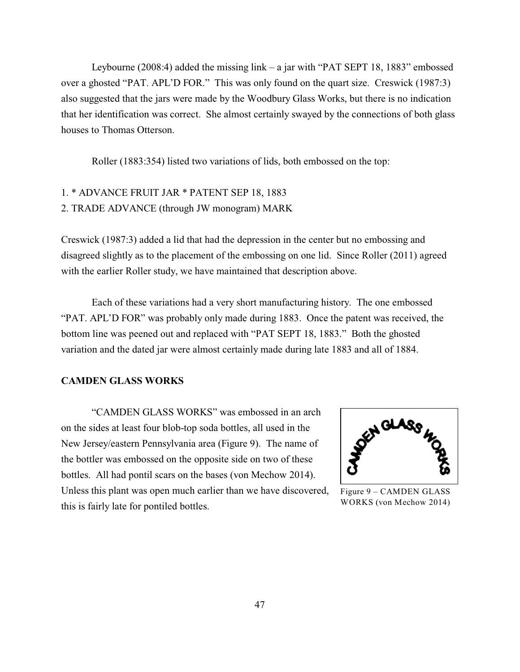Leybourne (2008:4) added the missing link – a jar with "PAT SEPT 18, 1883" embossed over a ghosted "PAT. APL'D FOR." This was only found on the quart size. Creswick (1987:3) also suggested that the jars were made by the Woodbury Glass Works, but there is no indication that her identification was correct. She almost certainly swayed by the connections of both glass houses to Thomas Otterson.

Roller (1883:354) listed two variations of lids, both embossed on the top:

# 1. \* ADVANCE FRUIT JAR \* PATENT SEP 18, 1883 2. TRADE ADVANCE (through JW monogram) MARK

Creswick (1987:3) added a lid that had the depression in the center but no embossing and disagreed slightly as to the placement of the embossing on one lid. Since Roller (2011) agreed with the earlier Roller study, we have maintained that description above.

Each of these variations had a very short manufacturing history. The one embossed "PAT. APL'D FOR" was probably only made during 1883. Once the patent was received, the bottom line was peened out and replaced with "PAT SEPT 18, 1883." Both the ghosted variation and the dated jar were almost certainly made during late 1883 and all of 1884.

#### **CAMDEN GLASS WORKS**

"CAMDEN GLASS WORKS" was embossed in an arch on the sides at least four blob-top soda bottles, all used in the New Jersey/eastern Pennsylvania area (Figure 9). The name of the bottler was embossed on the opposite side on two of these bottles. All had pontil scars on the bases (von Mechow 2014). Unless this plant was open much earlier than we have discovered, this is fairly late for pontiled bottles.



Figure 9 – CAMDEN GLASS WORKS (von Mechow 2014)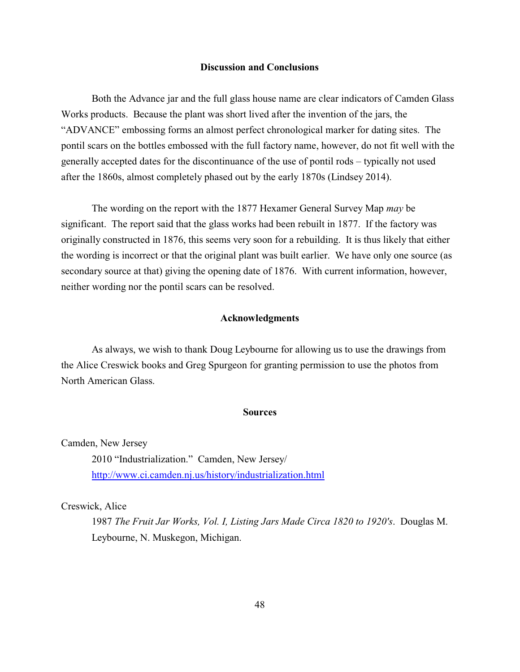#### **Discussion and Conclusions**

Both the Advance jar and the full glass house name are clear indicators of Camden Glass Works products. Because the plant was short lived after the invention of the jars, the "ADVANCE" embossing forms an almost perfect chronological marker for dating sites. The pontil scars on the bottles embossed with the full factory name, however, do not fit well with the generally accepted dates for the discontinuance of the use of pontil rods – typically not used after the 1860s, almost completely phased out by the early 1870s (Lindsey 2014).

The wording on the report with the 1877 Hexamer General Survey Map *may* be significant. The report said that the glass works had been rebuilt in 1877. If the factory was originally constructed in 1876, this seems very soon for a rebuilding. It is thus likely that either the wording is incorrect or that the original plant was built earlier. We have only one source (as secondary source at that) giving the opening date of 1876. With current information, however, neither wording nor the pontil scars can be resolved.

#### **Acknowledgments**

As always, we wish to thank Doug Leybourne for allowing us to use the drawings from the Alice Creswick books and Greg Spurgeon for granting permission to use the photos from North American Glass.

#### **Sources**

Camden, New Jersey

2010 "Industrialization." Camden, New Jersey/ <http://www.ci.camden.nj.us/history/industrialization.html>

Creswick, Alice

1987 *The Fruit Jar Works, Vol. I, Listing Jars Made Circa 1820 to 1920's*. Douglas M. Leybourne, N. Muskegon, Michigan.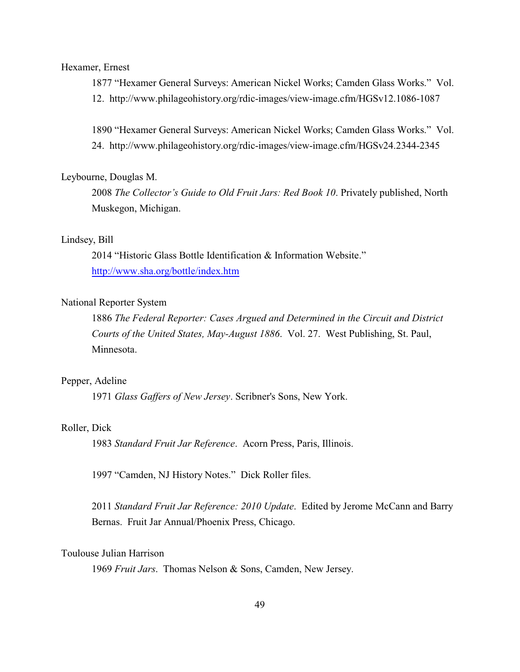#### Hexamer, Ernest

1877 "Hexamer General Surveys: American Nickel Works; Camden Glass Works." Vol. 12. http://www.philageohistory.org/rdic-images/view-image.cfm/HGSv12.1086-1087

1890 "Hexamer General Surveys: American Nickel Works; Camden Glass Works." Vol. 24. http://www.philageohistory.org/rdic-images/view-image.cfm/HGSv24.2344-2345

#### Leybourne, Douglas M.

2008 *The Collector's Guide to Old Fruit Jars: Red Book 10*. Privately published, North Muskegon, Michigan.

## Lindsey, Bill

2014 "Historic Glass Bottle Identification & Information Website." <http://www.sha.org/bottle/index.htm>

## National Reporter System

1886 *The Federal Reporter: Cases Argued and Determined in the Circuit and District Courts of the United States, May-August 1886*. Vol. 27. West Publishing, St. Paul, Minnesota.

#### Pepper, Adeline

1971 *Glass Gaffers of New Jersey*. Scribner's Sons, New York.

#### Roller, Dick

1983 *Standard Fruit Jar Reference*. Acorn Press, Paris, Illinois.

1997 "Camden, NJ History Notes." Dick Roller files.

2011 *Standard Fruit Jar Reference: 2010 Update*. Edited by Jerome McCann and Barry Bernas. Fruit Jar Annual/Phoenix Press, Chicago.

#### Toulouse Julian Harrison

1969 *Fruit Jars*. Thomas Nelson & Sons, Camden, New Jersey.